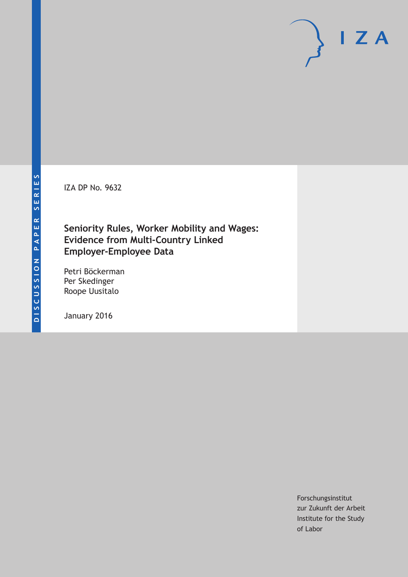IZA DP No. 9632

### **Seniority Rules, Worker Mobility and Wages: Evidence from Multi-Country Linked Employer-Employee Data**

Petri Böckerman Per Skedinger Roope Uusitalo

January 2016

Forschungsinstitut zur Zukunft der Arbeit Institute for the Study of Labor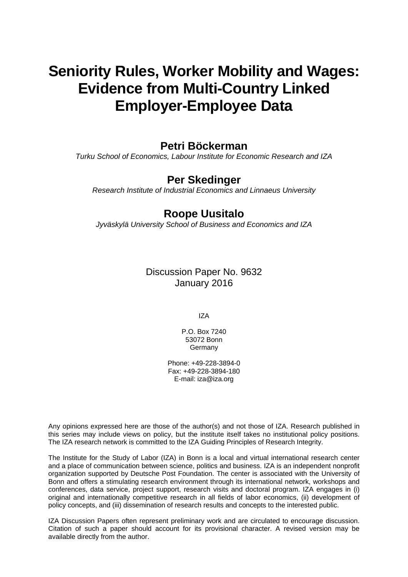# **Seniority Rules, Worker Mobility and Wages: Evidence from Multi-Country Linked Employer-Employee Data**

### **Petri Böckerman**

*Turku School of Economics, Labour Institute for Economic Research and IZA* 

### **Per Skedinger**

*Research Institute of Industrial Economics and Linnaeus University* 

### **Roope Uusitalo**

*Jyväskylä University School of Business and Economics and IZA*

Discussion Paper No. 9632 January 2016

IZA

P.O. Box 7240 53072 Bonn Germany

Phone: +49-228-3894-0 Fax: +49-228-3894-180 E-mail: iza@iza.org

Any opinions expressed here are those of the author(s) and not those of IZA. Research published in this series may include views on policy, but the institute itself takes no institutional policy positions. The IZA research network is committed to the IZA Guiding Principles of Research Integrity.

The Institute for the Study of Labor (IZA) in Bonn is a local and virtual international research center and a place of communication between science, politics and business. IZA is an independent nonprofit organization supported by Deutsche Post Foundation. The center is associated with the University of Bonn and offers a stimulating research environment through its international network, workshops and conferences, data service, project support, research visits and doctoral program. IZA engages in (i) original and internationally competitive research in all fields of labor economics, (ii) development of policy concepts, and (iii) dissemination of research results and concepts to the interested public.

IZA Discussion Papers often represent preliminary work and are circulated to encourage discussion. Citation of such a paper should account for its provisional character. A revised version may be available directly from the author.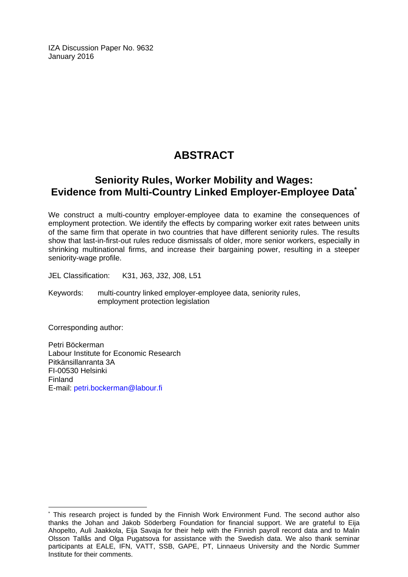IZA Discussion Paper No. 9632 January 2016

## **ABSTRACT**

### **Seniority Rules, Worker Mobility and Wages: Evidence from Multi-Country Linked Employer-Employee Data\***

We construct a multi-country employer-employee data to examine the consequences of employment protection. We identify the effects by comparing worker exit rates between units of the same firm that operate in two countries that have different seniority rules. The results show that last-in-first-out rules reduce dismissals of older, more senior workers, especially in shrinking multinational firms, and increase their bargaining power, resulting in a steeper seniority-wage profile.

JEL Classification: K31, J63, J32, J08, L51

Keywords: multi-country linked employer-employee data, seniority rules, employment protection legislation

Corresponding author:

 $\overline{a}$ 

Petri Böckerman Labour Institute for Economic Research Pitkänsillanranta 3A FI-00530 Helsinki Finland E-mail: petri.bockerman@labour.fi

<sup>\*</sup> This research project is funded by the Finnish Work Environment Fund. The second author also thanks the Johan and Jakob Söderberg Foundation for financial support. We are grateful to Eija Ahopelto, Auli Jaakkola, Eija Savaja for their help with the Finnish payroll record data and to Malin Olsson Tallås and Olga Pugatsova for assistance with the Swedish data. We also thank seminar participants at EALE, IFN, VATT, SSB, GAPE, PT, Linnaeus University and the Nordic Summer Institute for their comments.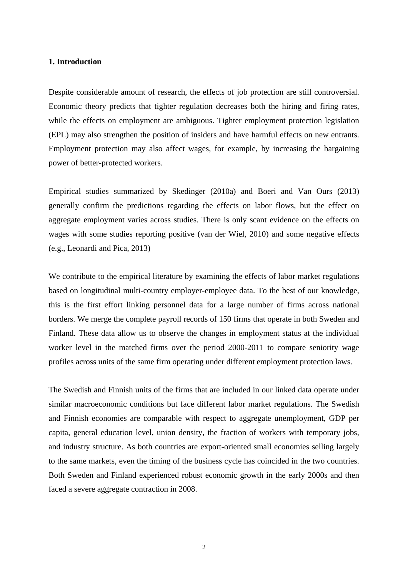#### **1. Introduction**

Despite considerable amount of research, the effects of job protection are still controversial. Economic theory predicts that tighter regulation decreases both the hiring and firing rates, while the effects on employment are ambiguous. Tighter employment protection legislation (EPL) may also strengthen the position of insiders and have harmful effects on new entrants. Employment protection may also affect wages, for example, by increasing the bargaining power of better-protected workers.

Empirical studies summarized by Skedinger (2010a) and Boeri and Van Ours (2013) generally confirm the predictions regarding the effects on labor flows, but the effect on aggregate employment varies across studies. There is only scant evidence on the effects on wages with some studies reporting positive (van der Wiel, 2010) and some negative effects (e.g., Leonardi and Pica, 2013)

We contribute to the empirical literature by examining the effects of labor market regulations based on longitudinal multi-country employer-employee data. To the best of our knowledge, this is the first effort linking personnel data for a large number of firms across national borders. We merge the complete payroll records of 150 firms that operate in both Sweden and Finland. These data allow us to observe the changes in employment status at the individual worker level in the matched firms over the period 2000-2011 to compare seniority wage profiles across units of the same firm operating under different employment protection laws.

The Swedish and Finnish units of the firms that are included in our linked data operate under similar macroeconomic conditions but face different labor market regulations. The Swedish and Finnish economies are comparable with respect to aggregate unemployment, GDP per capita, general education level, union density, the fraction of workers with temporary jobs, and industry structure. As both countries are export-oriented small economies selling largely to the same markets, even the timing of the business cycle has coincided in the two countries. Both Sweden and Finland experienced robust economic growth in the early 2000s and then faced a severe aggregate contraction in 2008.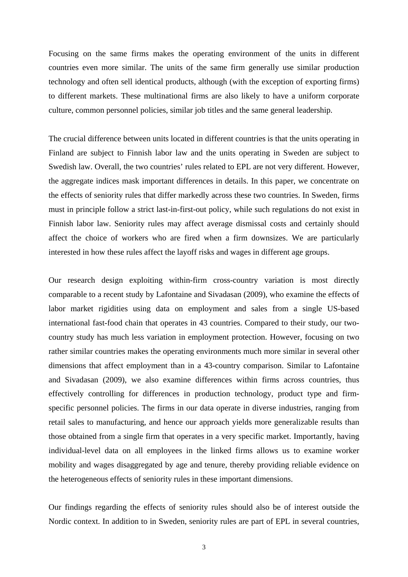Focusing on the same firms makes the operating environment of the units in different countries even more similar. The units of the same firm generally use similar production technology and often sell identical products, although (with the exception of exporting firms) to different markets. These multinational firms are also likely to have a uniform corporate culture, common personnel policies, similar job titles and the same general leadership.

The crucial difference between units located in different countries is that the units operating in Finland are subject to Finnish labor law and the units operating in Sweden are subject to Swedish law. Overall, the two countries' rules related to EPL are not very different. However, the aggregate indices mask important differences in details. In this paper, we concentrate on the effects of seniority rules that differ markedly across these two countries. In Sweden, firms must in principle follow a strict last-in-first-out policy, while such regulations do not exist in Finnish labor law. Seniority rules may affect average dismissal costs and certainly should affect the choice of workers who are fired when a firm downsizes. We are particularly interested in how these rules affect the layoff risks and wages in different age groups.

Our research design exploiting within-firm cross-country variation is most directly comparable to a recent study by Lafontaine and Sivadasan (2009), who examine the effects of labor market rigidities using data on employment and sales from a single US-based international fast-food chain that operates in 43 countries. Compared to their study, our twocountry study has much less variation in employment protection. However, focusing on two rather similar countries makes the operating environments much more similar in several other dimensions that affect employment than in a 43-country comparison. Similar to Lafontaine and Sivadasan (2009), we also examine differences within firms across countries, thus effectively controlling for differences in production technology, product type and firmspecific personnel policies. The firms in our data operate in diverse industries, ranging from retail sales to manufacturing, and hence our approach yields more generalizable results than those obtained from a single firm that operates in a very specific market. Importantly, having individual-level data on all employees in the linked firms allows us to examine worker mobility and wages disaggregated by age and tenure, thereby providing reliable evidence on the heterogeneous effects of seniority rules in these important dimensions.

Our findings regarding the effects of seniority rules should also be of interest outside the Nordic context. In addition to in Sweden, seniority rules are part of EPL in several countries,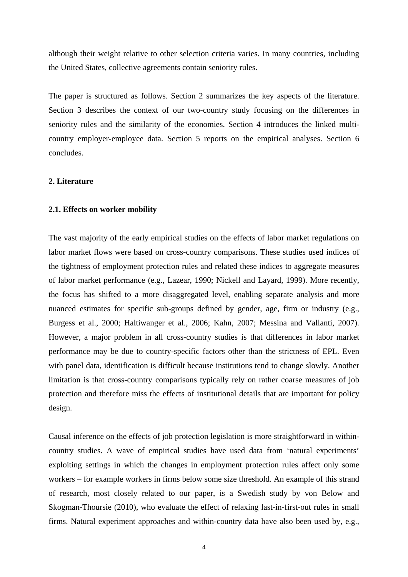although their weight relative to other selection criteria varies. In many countries, including the United States, collective agreements contain seniority rules.

The paper is structured as follows. Section 2 summarizes the key aspects of the literature. Section 3 describes the context of our two-country study focusing on the differences in seniority rules and the similarity of the economies. Section 4 introduces the linked multicountry employer-employee data. Section 5 reports on the empirical analyses. Section 6 concludes.

#### **2. Literature**

#### **2.1. Effects on worker mobility**

The vast majority of the early empirical studies on the effects of labor market regulations on labor market flows were based on cross-country comparisons. These studies used indices of the tightness of employment protection rules and related these indices to aggregate measures of labor market performance (e.g., Lazear, 1990; Nickell and Layard, 1999). More recently, the focus has shifted to a more disaggregated level, enabling separate analysis and more nuanced estimates for specific sub-groups defined by gender, age, firm or industry (e.g., Burgess et al., 2000; Haltiwanger et al., 2006; Kahn, 2007; Messina and Vallanti, 2007). However, a major problem in all cross-country studies is that differences in labor market performance may be due to country-specific factors other than the strictness of EPL. Even with panel data, identification is difficult because institutions tend to change slowly. Another limitation is that cross-country comparisons typically rely on rather coarse measures of job protection and therefore miss the effects of institutional details that are important for policy design.

Causal inference on the effects of job protection legislation is more straightforward in withincountry studies. A wave of empirical studies have used data from 'natural experiments' exploiting settings in which the changes in employment protection rules affect only some workers – for example workers in firms below some size threshold. An example of this strand of research, most closely related to our paper, is a Swedish study by von Below and Skogman-Thoursie (2010), who evaluate the effect of relaxing last-in-first-out rules in small firms. Natural experiment approaches and within-country data have also been used by, e.g.,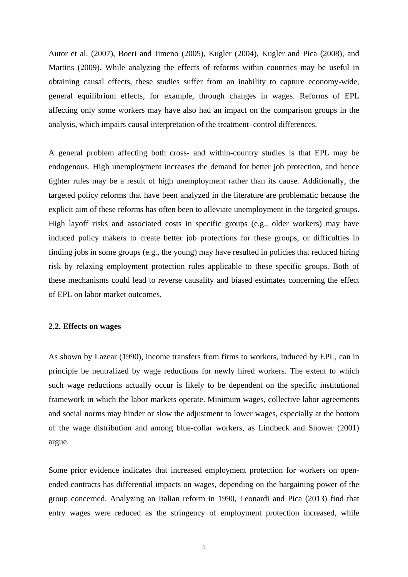Autor et al. (2007), Boeri and Jimeno (2005), Kugler (2004), Kugler and Pica (2008), and Martins (2009). While analyzing the effects of reforms within countries may be useful in obtaining causal effects, these studies suffer from an inability to capture economy-wide, general equilibrium effects, for example, through changes in wages. Reforms of EPL affecting only some workers may have also had an impact on the comparison groups in the analysis, which impairs causal interpretation of the treatment–control differences.

A general problem affecting both cross- and within-country studies is that EPL may be endogenous. High unemployment increases the demand for better job protection, and hence tighter rules may be a result of high unemployment rather than its cause. Additionally, the targeted policy reforms that have been analyzed in the literature are problematic because the explicit aim of these reforms has often been to alleviate unemployment in the targeted groups. High layoff risks and associated costs in specific groups (e.g., older workers) may have induced policy makers to create better job protections for these groups, or difficulties in finding jobs in some groups (e.g., the young) may have resulted in policies that reduced hiring risk by relaxing employment protection rules applicable to these specific groups. Both of these mechanisms could lead to reverse causality and biased estimates concerning the effect of EPL on labor market outcomes.

#### **2.2. Effects on wages**

As shown by Lazear (1990), income transfers from firms to workers, induced by EPL, can in principle be neutralized by wage reductions for newly hired workers. The extent to which such wage reductions actually occur is likely to be dependent on the specific institutional framework in which the labor markets operate. Minimum wages, collective labor agreements and social norms may hinder or slow the adjustment to lower wages, especially at the bottom of the wage distribution and among blue-collar workers, as Lindbeck and Snower (2001) argue.

Some prior evidence indicates that increased employment protection for workers on openended contracts has differential impacts on wages, depending on the bargaining power of the group concerned. Analyzing an Italian reform in 1990, Leonardi and Pica (2013) find that entry wages were reduced as the stringency of employment protection increased, while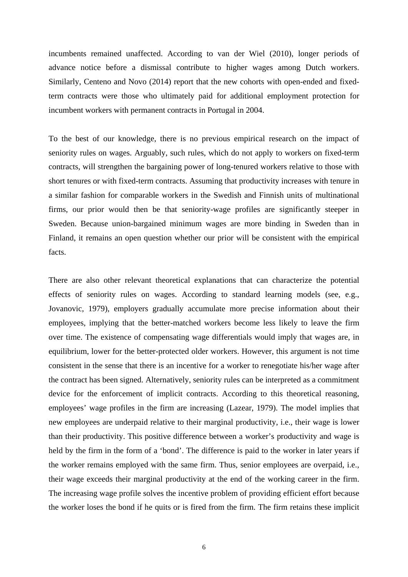incumbents remained unaffected. According to van der Wiel (2010), longer periods of advance notice before a dismissal contribute to higher wages among Dutch workers. Similarly, Centeno and Novo (2014) report that the new cohorts with open-ended and fixedterm contracts were those who ultimately paid for additional employment protection for incumbent workers with permanent contracts in Portugal in 2004.

To the best of our knowledge, there is no previous empirical research on the impact of seniority rules on wages. Arguably, such rules, which do not apply to workers on fixed-term contracts, will strengthen the bargaining power of long-tenured workers relative to those with short tenures or with fixed-term contracts. Assuming that productivity increases with tenure in a similar fashion for comparable workers in the Swedish and Finnish units of multinational firms, our prior would then be that seniority-wage profiles are significantly steeper in Sweden. Because union-bargained minimum wages are more binding in Sweden than in Finland, it remains an open question whether our prior will be consistent with the empirical facts.

There are also other relevant theoretical explanations that can characterize the potential effects of seniority rules on wages. According to standard learning models (see, e.g., Jovanovic, 1979), employers gradually accumulate more precise information about their employees, implying that the better-matched workers become less likely to leave the firm over time. The existence of compensating wage differentials would imply that wages are, in equilibrium, lower for the better-protected older workers. However, this argument is not time consistent in the sense that there is an incentive for a worker to renegotiate his/her wage after the contract has been signed. Alternatively, seniority rules can be interpreted as a commitment device for the enforcement of implicit contracts. According to this theoretical reasoning, employees' wage profiles in the firm are increasing (Lazear, 1979). The model implies that new employees are underpaid relative to their marginal productivity, i.e., their wage is lower than their productivity. This positive difference between a worker's productivity and wage is held by the firm in the form of a 'bond'. The difference is paid to the worker in later years if the worker remains employed with the same firm. Thus, senior employees are overpaid, i.e., their wage exceeds their marginal productivity at the end of the working career in the firm. The increasing wage profile solves the incentive problem of providing efficient effort because the worker loses the bond if he quits or is fired from the firm. The firm retains these implicit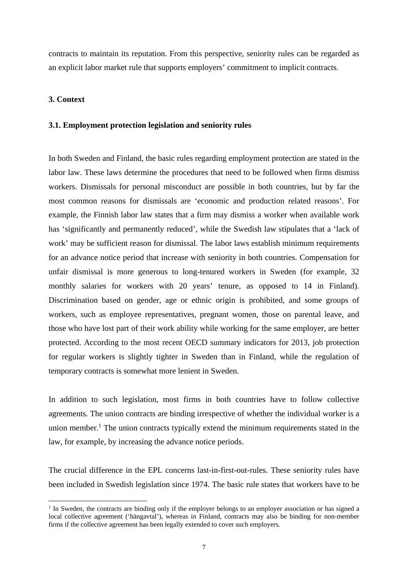contracts to maintain its reputation. From this perspective, seniority rules can be regarded as an explicit labor market rule that supports employers' commitment to implicit contracts.

#### **3. Context**

1

#### **3.1. Employment protection legislation and seniority rules**

In both Sweden and Finland, the basic rules regarding employment protection are stated in the labor law. These laws determine the procedures that need to be followed when firms dismiss workers. Dismissals for personal misconduct are possible in both countries, but by far the most common reasons for dismissals are 'economic and production related reasons'. For example, the Finnish labor law states that a firm may dismiss a worker when available work has 'significantly and permanently reduced', while the Swedish law stipulates that a 'lack of work' may be sufficient reason for dismissal. The labor laws establish minimum requirements for an advance notice period that increase with seniority in both countries. Compensation for unfair dismissal is more generous to long-tenured workers in Sweden (for example, 32 monthly salaries for workers with 20 years' tenure, as opposed to 14 in Finland). Discrimination based on gender, age or ethnic origin is prohibited, and some groups of workers, such as employee representatives, pregnant women, those on parental leave, and those who have lost part of their work ability while working for the same employer, are better protected. According to the most recent OECD summary indicators for 2013, job protection for regular workers is slightly tighter in Sweden than in Finland, while the regulation of temporary contracts is somewhat more lenient in Sweden.

In addition to such legislation, most firms in both countries have to follow collective agreements. The union contracts are binding irrespective of whether the individual worker is a union member.<sup>1</sup> The union contracts typically extend the minimum requirements stated in the law, for example, by increasing the advance notice periods.

The crucial difference in the EPL concerns last-in-first-out-rules. These seniority rules have been included in Swedish legislation since 1974. The basic rule states that workers have to be

<sup>&</sup>lt;sup>1</sup> In Sweden, the contracts are binding only if the employer belongs to an employer association or has signed a local collective agreement ('hängavtal'), whereas in Finland, contracts may also be binding for non-member firms if the collective agreement has been legally extended to cover such employers.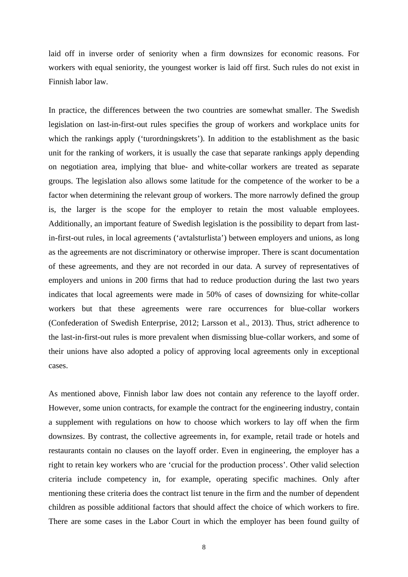laid off in inverse order of seniority when a firm downsizes for economic reasons. For workers with equal seniority, the youngest worker is laid off first. Such rules do not exist in Finnish labor law.

In practice, the differences between the two countries are somewhat smaller. The Swedish legislation on last-in-first-out rules specifies the group of workers and workplace units for which the rankings apply ('turordningskrets'). In addition to the establishment as the basic unit for the ranking of workers, it is usually the case that separate rankings apply depending on negotiation area, implying that blue- and white-collar workers are treated as separate groups. The legislation also allows some latitude for the competence of the worker to be a factor when determining the relevant group of workers. The more narrowly defined the group is, the larger is the scope for the employer to retain the most valuable employees. Additionally, an important feature of Swedish legislation is the possibility to depart from lastin-first-out rules, in local agreements ('avtalsturlista') between employers and unions, as long as the agreements are not discriminatory or otherwise improper. There is scant documentation of these agreements, and they are not recorded in our data. A survey of representatives of employers and unions in 200 firms that had to reduce production during the last two years indicates that local agreements were made in 50% of cases of downsizing for white-collar workers but that these agreements were rare occurrences for blue-collar workers (Confederation of Swedish Enterprise, 2012; Larsson et al., 2013). Thus, strict adherence to the last-in-first-out rules is more prevalent when dismissing blue-collar workers, and some of their unions have also adopted a policy of approving local agreements only in exceptional cases.

As mentioned above, Finnish labor law does not contain any reference to the layoff order. However, some union contracts, for example the contract for the engineering industry, contain a supplement with regulations on how to choose which workers to lay off when the firm downsizes. By contrast, the collective agreements in, for example, retail trade or hotels and restaurants contain no clauses on the layoff order. Even in engineering, the employer has a right to retain key workers who are 'crucial for the production process'. Other valid selection criteria include competency in, for example, operating specific machines. Only after mentioning these criteria does the contract list tenure in the firm and the number of dependent children as possible additional factors that should affect the choice of which workers to fire. There are some cases in the Labor Court in which the employer has been found guilty of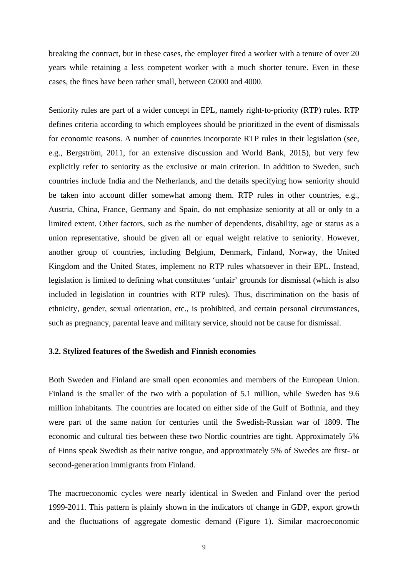breaking the contract, but in these cases, the employer fired a worker with a tenure of over 20 years while retaining a less competent worker with a much shorter tenure. Even in these cases, the fines have been rather small, between €2000 and 4000.

Seniority rules are part of a wider concept in EPL, namely right-to-priority (RTP) rules. RTP defines criteria according to which employees should be prioritized in the event of dismissals for economic reasons. A number of countries incorporate RTP rules in their legislation (see, e.g., Bergström, 2011, for an extensive discussion and World Bank, 2015), but very few explicitly refer to seniority as the exclusive or main criterion. In addition to Sweden, such countries include India and the Netherlands, and the details specifying how seniority should be taken into account differ somewhat among them. RTP rules in other countries, e.g., Austria, China, France, Germany and Spain, do not emphasize seniority at all or only to a limited extent. Other factors, such as the number of dependents, disability, age or status as a union representative, should be given all or equal weight relative to seniority. However, another group of countries, including Belgium, Denmark, Finland, Norway, the United Kingdom and the United States, implement no RTP rules whatsoever in their EPL. Instead, legislation is limited to defining what constitutes 'unfair' grounds for dismissal (which is also included in legislation in countries with RTP rules). Thus, discrimination on the basis of ethnicity, gender, sexual orientation, etc., is prohibited, and certain personal circumstances, such as pregnancy, parental leave and military service, should not be cause for dismissal.

#### **3.2. Stylized features of the Swedish and Finnish economies**

Both Sweden and Finland are small open economies and members of the European Union. Finland is the smaller of the two with a population of 5.1 million, while Sweden has 9.6 million inhabitants. The countries are located on either side of the Gulf of Bothnia, and they were part of the same nation for centuries until the Swedish-Russian war of 1809. The economic and cultural ties between these two Nordic countries are tight. Approximately 5% of Finns speak Swedish as their native tongue, and approximately 5% of Swedes are first- or second-generation immigrants from Finland.

The macroeconomic cycles were nearly identical in Sweden and Finland over the period 1999-2011. This pattern is plainly shown in the indicators of change in GDP, export growth and the fluctuations of aggregate domestic demand (Figure 1). Similar macroeconomic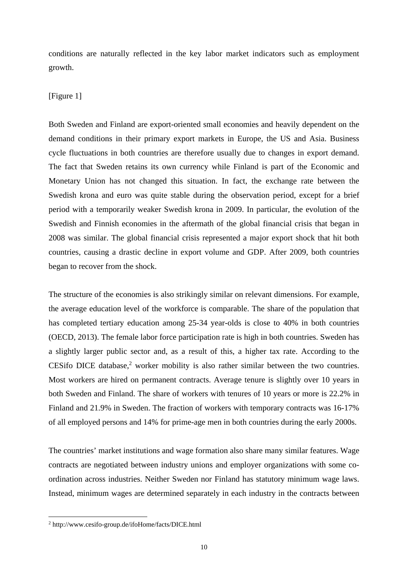conditions are naturally reflected in the key labor market indicators such as employment growth.

#### [Figure 1]

Both Sweden and Finland are export-oriented small economies and heavily dependent on the demand conditions in their primary export markets in Europe, the US and Asia. Business cycle fluctuations in both countries are therefore usually due to changes in export demand. The fact that Sweden retains its own currency while Finland is part of the Economic and Monetary Union has not changed this situation. In fact, the exchange rate between the Swedish krona and euro was quite stable during the observation period, except for a brief period with a temporarily weaker Swedish krona in 2009. In particular, the evolution of the Swedish and Finnish economies in the aftermath of the global financial crisis that began in 2008 was similar. The global financial crisis represented a major export shock that hit both countries, causing a drastic decline in export volume and GDP. After 2009, both countries began to recover from the shock.

The structure of the economies is also strikingly similar on relevant dimensions. For example, the average education level of the workforce is comparable. The share of the population that has completed tertiary education among 25-34 year-olds is close to 40% in both countries (OECD, 2013). The female labor force participation rate is high in both countries. Sweden has a slightly larger public sector and, as a result of this, a higher tax rate. According to the CESifo DICE database, $2$  worker mobility is also rather similar between the two countries. Most workers are hired on permanent contracts. Average tenure is slightly over 10 years in both Sweden and Finland. The share of workers with tenures of 10 years or more is 22.2% in Finland and 21.9% in Sweden. The fraction of workers with temporary contracts was 16-17% of all employed persons and 14% for prime-age men in both countries during the early 2000s.

The countries' market institutions and wage formation also share many similar features. Wage contracts are negotiated between industry unions and employer organizations with some coordination across industries. Neither Sweden nor Finland has statutory minimum wage laws. Instead, minimum wages are determined separately in each industry in the contracts between

1

<sup>2</sup> http://www.cesifo-group.de/ifoHome/facts/DICE.html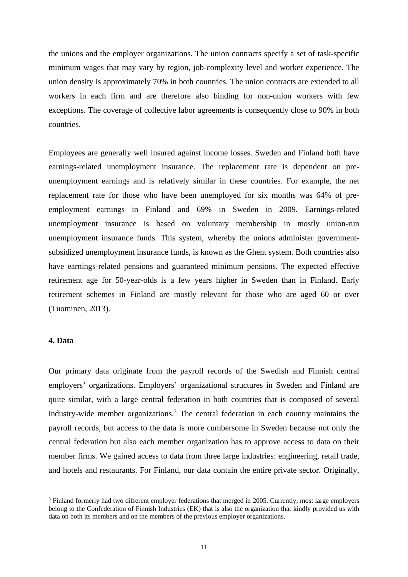the unions and the employer organizations. The union contracts specify a set of task-specific minimum wages that may vary by region, job-complexity level and worker experience. The union density is approximately 70% in both countries. The union contracts are extended to all workers in each firm and are therefore also binding for non-union workers with few exceptions. The coverage of collective labor agreements is consequently close to 90% in both countries.

Employees are generally well insured against income losses. Sweden and Finland both have earnings-related unemployment insurance. The replacement rate is dependent on preunemployment earnings and is relatively similar in these countries. For example, the net replacement rate for those who have been unemployed for six months was 64% of preemployment earnings in Finland and 69% in Sweden in 2009. Earnings-related unemployment insurance is based on voluntary membership in mostly union-run unemployment insurance funds. This system, whereby the unions administer governmentsubsidized unemployment insurance funds, is known as the Ghent system. Both countries also have earnings-related pensions and guaranteed minimum pensions. The expected effective retirement age for 50-year-olds is a few years higher in Sweden than in Finland. Early retirement schemes in Finland are mostly relevant for those who are aged 60 or over (Tuominen, 2013).

#### **4. Data**

1

Our primary data originate from the payroll records of the Swedish and Finnish central employers' organizations. Employers' organizational structures in Sweden and Finland are quite similar, with a large central federation in both countries that is composed of several industry-wide member organizations.<sup>3</sup> The central federation in each country maintains the payroll records, but access to the data is more cumbersome in Sweden because not only the central federation but also each member organization has to approve access to data on their member firms. We gained access to data from three large industries: engineering, retail trade, and hotels and restaurants. For Finland, our data contain the entire private sector. Originally,

<sup>&</sup>lt;sup>3</sup> Finland formerly had two different employer federations that merged in 2005. Currently, most large employers belong to the Confederation of Finnish Industries (EK) that is also the organization that kindly provided us with data on both its members and on the members of the previous employer organizations.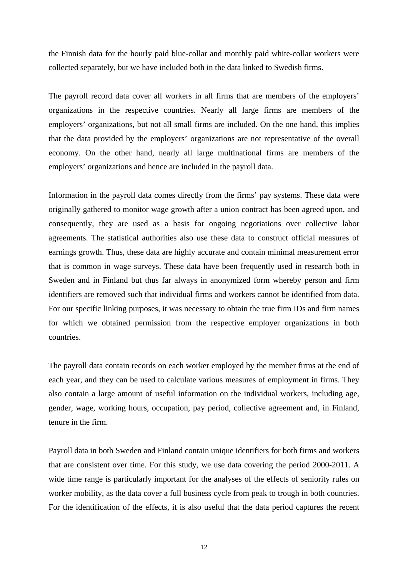the Finnish data for the hourly paid blue-collar and monthly paid white-collar workers were collected separately, but we have included both in the data linked to Swedish firms.

The payroll record data cover all workers in all firms that are members of the employers' organizations in the respective countries. Nearly all large firms are members of the employers' organizations, but not all small firms are included. On the one hand, this implies that the data provided by the employers' organizations are not representative of the overall economy. On the other hand, nearly all large multinational firms are members of the employers' organizations and hence are included in the payroll data.

Information in the payroll data comes directly from the firms' pay systems. These data were originally gathered to monitor wage growth after a union contract has been agreed upon, and consequently, they are used as a basis for ongoing negotiations over collective labor agreements. The statistical authorities also use these data to construct official measures of earnings growth. Thus, these data are highly accurate and contain minimal measurement error that is common in wage surveys. These data have been frequently used in research both in Sweden and in Finland but thus far always in anonymized form whereby person and firm identifiers are removed such that individual firms and workers cannot be identified from data. For our specific linking purposes, it was necessary to obtain the true firm IDs and firm names for which we obtained permission from the respective employer organizations in both countries.

The payroll data contain records on each worker employed by the member firms at the end of each year, and they can be used to calculate various measures of employment in firms. They also contain a large amount of useful information on the individual workers, including age, gender, wage, working hours, occupation, pay period, collective agreement and, in Finland, tenure in the firm.

Payroll data in both Sweden and Finland contain unique identifiers for both firms and workers that are consistent over time. For this study, we use data covering the period 2000-2011. A wide time range is particularly important for the analyses of the effects of seniority rules on worker mobility, as the data cover a full business cycle from peak to trough in both countries. For the identification of the effects, it is also useful that the data period captures the recent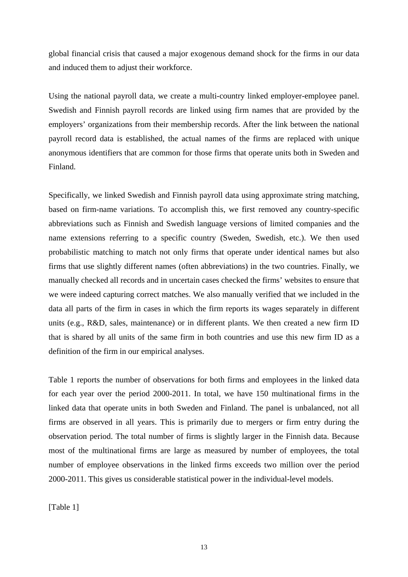global financial crisis that caused a major exogenous demand shock for the firms in our data and induced them to adjust their workforce.

Using the national payroll data, we create a multi-country linked employer-employee panel. Swedish and Finnish payroll records are linked using firm names that are provided by the employers' organizations from their membership records. After the link between the national payroll record data is established, the actual names of the firms are replaced with unique anonymous identifiers that are common for those firms that operate units both in Sweden and Finland.

Specifically, we linked Swedish and Finnish payroll data using approximate string matching, based on firm-name variations. To accomplish this, we first removed any country-specific abbreviations such as Finnish and Swedish language versions of limited companies and the name extensions referring to a specific country (Sweden, Swedish, etc.). We then used probabilistic matching to match not only firms that operate under identical names but also firms that use slightly different names (often abbreviations) in the two countries. Finally, we manually checked all records and in uncertain cases checked the firms' websites to ensure that we were indeed capturing correct matches. We also manually verified that we included in the data all parts of the firm in cases in which the firm reports its wages separately in different units (e.g., R&D, sales, maintenance) or in different plants. We then created a new firm ID that is shared by all units of the same firm in both countries and use this new firm ID as a definition of the firm in our empirical analyses.

Table 1 reports the number of observations for both firms and employees in the linked data for each year over the period 2000-2011. In total, we have 150 multinational firms in the linked data that operate units in both Sweden and Finland. The panel is unbalanced, not all firms are observed in all years. This is primarily due to mergers or firm entry during the observation period. The total number of firms is slightly larger in the Finnish data. Because most of the multinational firms are large as measured by number of employees, the total number of employee observations in the linked firms exceeds two million over the period 2000-2011. This gives us considerable statistical power in the individual-level models.

[Table 1]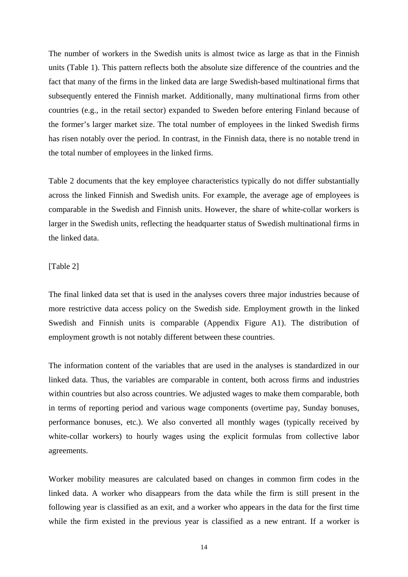The number of workers in the Swedish units is almost twice as large as that in the Finnish units (Table 1). This pattern reflects both the absolute size difference of the countries and the fact that many of the firms in the linked data are large Swedish-based multinational firms that subsequently entered the Finnish market. Additionally, many multinational firms from other countries (e.g., in the retail sector) expanded to Sweden before entering Finland because of the former's larger market size. The total number of employees in the linked Swedish firms has risen notably over the period. In contrast, in the Finnish data, there is no notable trend in the total number of employees in the linked firms.

Table 2 documents that the key employee characteristics typically do not differ substantially across the linked Finnish and Swedish units. For example, the average age of employees is comparable in the Swedish and Finnish units. However, the share of white-collar workers is larger in the Swedish units, reflecting the headquarter status of Swedish multinational firms in the linked data.

[Table 2]

The final linked data set that is used in the analyses covers three major industries because of more restrictive data access policy on the Swedish side. Employment growth in the linked Swedish and Finnish units is comparable (Appendix Figure A1). The distribution of employment growth is not notably different between these countries.

The information content of the variables that are used in the analyses is standardized in our linked data. Thus, the variables are comparable in content, both across firms and industries within countries but also across countries. We adjusted wages to make them comparable, both in terms of reporting period and various wage components (overtime pay, Sunday bonuses, performance bonuses, etc.). We also converted all monthly wages (typically received by white-collar workers) to hourly wages using the explicit formulas from collective labor agreements.

Worker mobility measures are calculated based on changes in common firm codes in the linked data. A worker who disappears from the data while the firm is still present in the following year is classified as an exit, and a worker who appears in the data for the first time while the firm existed in the previous year is classified as a new entrant. If a worker is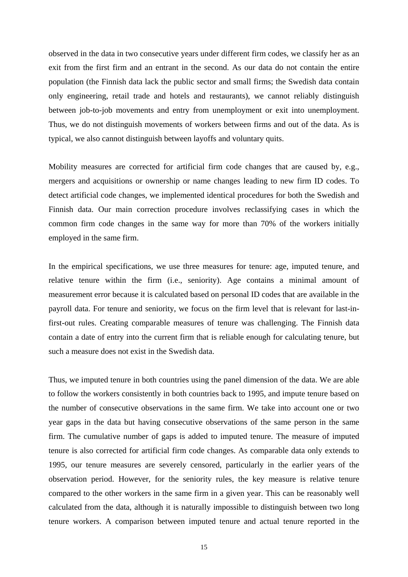observed in the data in two consecutive years under different firm codes, we classify her as an exit from the first firm and an entrant in the second. As our data do not contain the entire population (the Finnish data lack the public sector and small firms; the Swedish data contain only engineering, retail trade and hotels and restaurants), we cannot reliably distinguish between job-to-job movements and entry from unemployment or exit into unemployment. Thus, we do not distinguish movements of workers between firms and out of the data. As is typical, we also cannot distinguish between layoffs and voluntary quits.

Mobility measures are corrected for artificial firm code changes that are caused by, e.g., mergers and acquisitions or ownership or name changes leading to new firm ID codes. To detect artificial code changes, we implemented identical procedures for both the Swedish and Finnish data. Our main correction procedure involves reclassifying cases in which the common firm code changes in the same way for more than 70% of the workers initially employed in the same firm.

In the empirical specifications, we use three measures for tenure: age, imputed tenure, and relative tenure within the firm (i.e., seniority). Age contains a minimal amount of measurement error because it is calculated based on personal ID codes that are available in the payroll data. For tenure and seniority, we focus on the firm level that is relevant for last-infirst-out rules. Creating comparable measures of tenure was challenging. The Finnish data contain a date of entry into the current firm that is reliable enough for calculating tenure, but such a measure does not exist in the Swedish data.

Thus, we imputed tenure in both countries using the panel dimension of the data. We are able to follow the workers consistently in both countries back to 1995, and impute tenure based on the number of consecutive observations in the same firm. We take into account one or two year gaps in the data but having consecutive observations of the same person in the same firm. The cumulative number of gaps is added to imputed tenure. The measure of imputed tenure is also corrected for artificial firm code changes. As comparable data only extends to 1995, our tenure measures are severely censored, particularly in the earlier years of the observation period. However, for the seniority rules, the key measure is relative tenure compared to the other workers in the same firm in a given year. This can be reasonably well calculated from the data, although it is naturally impossible to distinguish between two long tenure workers. A comparison between imputed tenure and actual tenure reported in the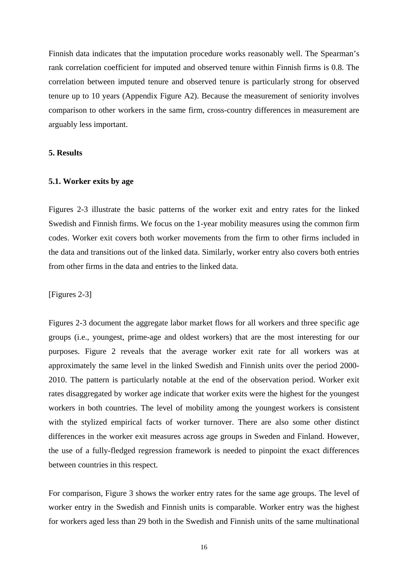Finnish data indicates that the imputation procedure works reasonably well. The Spearman's rank correlation coefficient for imputed and observed tenure within Finnish firms is 0.8. The correlation between imputed tenure and observed tenure is particularly strong for observed tenure up to 10 years (Appendix Figure A2). Because the measurement of seniority involves comparison to other workers in the same firm, cross-country differences in measurement are arguably less important.

#### **5. Results**

#### **5.1. Worker exits by age**

Figures 2-3 illustrate the basic patterns of the worker exit and entry rates for the linked Swedish and Finnish firms. We focus on the 1-year mobility measures using the common firm codes. Worker exit covers both worker movements from the firm to other firms included in the data and transitions out of the linked data. Similarly, worker entry also covers both entries from other firms in the data and entries to the linked data.

[Figures 2-3]

Figures 2-3 document the aggregate labor market flows for all workers and three specific age groups (i.e., youngest, prime-age and oldest workers) that are the most interesting for our purposes. Figure 2 reveals that the average worker exit rate for all workers was at approximately the same level in the linked Swedish and Finnish units over the period 2000- 2010. The pattern is particularly notable at the end of the observation period. Worker exit rates disaggregated by worker age indicate that worker exits were the highest for the youngest workers in both countries. The level of mobility among the youngest workers is consistent with the stylized empirical facts of worker turnover. There are also some other distinct differences in the worker exit measures across age groups in Sweden and Finland. However, the use of a fully-fledged regression framework is needed to pinpoint the exact differences between countries in this respect.

For comparison, Figure 3 shows the worker entry rates for the same age groups. The level of worker entry in the Swedish and Finnish units is comparable. Worker entry was the highest for workers aged less than 29 both in the Swedish and Finnish units of the same multinational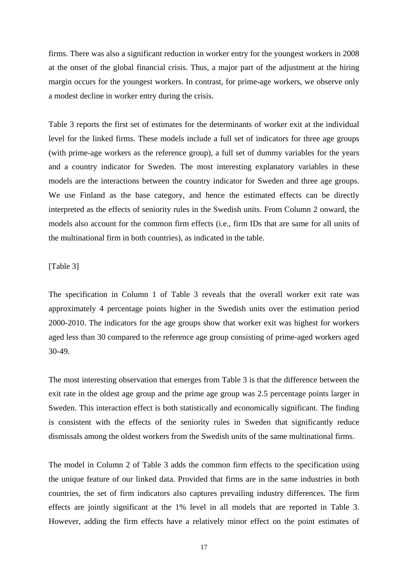firms. There was also a significant reduction in worker entry for the youngest workers in 2008 at the onset of the global financial crisis. Thus, a major part of the adjustment at the hiring margin occurs for the youngest workers. In contrast, for prime-age workers, we observe only a modest decline in worker entry during the crisis.

Table 3 reports the first set of estimates for the determinants of worker exit at the individual level for the linked firms. These models include a full set of indicators for three age groups (with prime-age workers as the reference group), a full set of dummy variables for the years and a country indicator for Sweden. The most interesting explanatory variables in these models are the interactions between the country indicator for Sweden and three age groups. We use Finland as the base category, and hence the estimated effects can be directly interpreted as the effects of seniority rules in the Swedish units. From Column 2 onward, the models also account for the common firm effects (i.e., firm IDs that are same for all units of the multinational firm in both countries), as indicated in the table.

#### [Table 3]

The specification in Column 1 of Table 3 reveals that the overall worker exit rate was approximately 4 percentage points higher in the Swedish units over the estimation period 2000-2010. The indicators for the age groups show that worker exit was highest for workers aged less than 30 compared to the reference age group consisting of prime-aged workers aged 30-49.

The most interesting observation that emerges from Table 3 is that the difference between the exit rate in the oldest age group and the prime age group was 2.5 percentage points larger in Sweden. This interaction effect is both statistically and economically significant. The finding is consistent with the effects of the seniority rules in Sweden that significantly reduce dismissals among the oldest workers from the Swedish units of the same multinational firms.

The model in Column 2 of Table 3 adds the common firm effects to the specification using the unique feature of our linked data. Provided that firms are in the same industries in both countries, the set of firm indicators also captures prevailing industry differences. The firm effects are jointly significant at the 1% level in all models that are reported in Table 3. However, adding the firm effects have a relatively minor effect on the point estimates of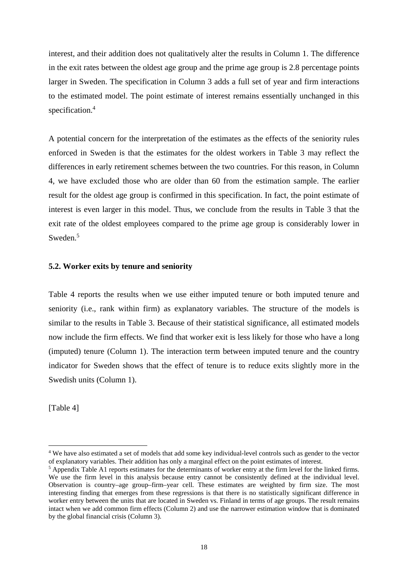interest, and their addition does not qualitatively alter the results in Column 1. The difference in the exit rates between the oldest age group and the prime age group is 2.8 percentage points larger in Sweden. The specification in Column 3 adds a full set of year and firm interactions to the estimated model. The point estimate of interest remains essentially unchanged in this specification.<sup>4</sup>

A potential concern for the interpretation of the estimates as the effects of the seniority rules enforced in Sweden is that the estimates for the oldest workers in Table 3 may reflect the differences in early retirement schemes between the two countries. For this reason, in Column 4, we have excluded those who are older than 60 from the estimation sample. The earlier result for the oldest age group is confirmed in this specification. In fact, the point estimate of interest is even larger in this model. Thus, we conclude from the results in Table 3 that the exit rate of the oldest employees compared to the prime age group is considerably lower in Sweden.<sup>5</sup>

#### **5.2. Worker exits by tenure and seniority**

Table 4 reports the results when we use either imputed tenure or both imputed tenure and seniority (i.e., rank within firm) as explanatory variables. The structure of the models is similar to the results in Table 3. Because of their statistical significance, all estimated models now include the firm effects. We find that worker exit is less likely for those who have a long (imputed) tenure (Column 1). The interaction term between imputed tenure and the country indicator for Sweden shows that the effect of tenure is to reduce exits slightly more in the Swedish units (Column 1).

[Table 4]

1

<sup>&</sup>lt;sup>4</sup> We have also estimated a set of models that add some key individual-level controls such as gender to the vector of explanatory variables. Their addition has only a marginal effect on the point estimates of interest.

 $<sup>5</sup>$  Appendix Table A1 reports estimates for the determinants of worker entry at the firm level for the linked firms.</sup> We use the firm level in this analysis because entry cannot be consistently defined at the individual level. Observation is country–age group–firm–year cell. These estimates are weighted by firm size. The most interesting finding that emerges from these regressions is that there is no statistically significant difference in worker entry between the units that are located in Sweden vs. Finland in terms of age groups. The result remains intact when we add common firm effects (Column 2) and use the narrower estimation window that is dominated by the global financial crisis (Column 3).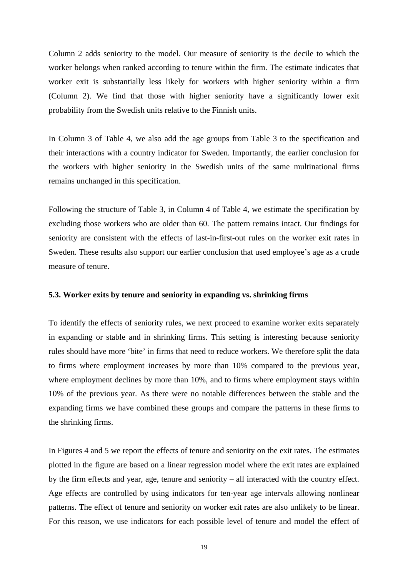Column 2 adds seniority to the model. Our measure of seniority is the decile to which the worker belongs when ranked according to tenure within the firm. The estimate indicates that worker exit is substantially less likely for workers with higher seniority within a firm (Column 2). We find that those with higher seniority have a significantly lower exit probability from the Swedish units relative to the Finnish units.

In Column 3 of Table 4, we also add the age groups from Table 3 to the specification and their interactions with a country indicator for Sweden. Importantly, the earlier conclusion for the workers with higher seniority in the Swedish units of the same multinational firms remains unchanged in this specification.

Following the structure of Table 3, in Column 4 of Table 4, we estimate the specification by excluding those workers who are older than 60. The pattern remains intact. Our findings for seniority are consistent with the effects of last-in-first-out rules on the worker exit rates in Sweden. These results also support our earlier conclusion that used employee's age as a crude measure of tenure.

#### **5.3. Worker exits by tenure and seniority in expanding vs. shrinking firms**

To identify the effects of seniority rules, we next proceed to examine worker exits separately in expanding or stable and in shrinking firms. This setting is interesting because seniority rules should have more 'bite' in firms that need to reduce workers. We therefore split the data to firms where employment increases by more than 10% compared to the previous year, where employment declines by more than 10%, and to firms where employment stays within 10% of the previous year. As there were no notable differences between the stable and the expanding firms we have combined these groups and compare the patterns in these firms to the shrinking firms.

In Figures 4 and 5 we report the effects of tenure and seniority on the exit rates. The estimates plotted in the figure are based on a linear regression model where the exit rates are explained by the firm effects and year, age, tenure and seniority – all interacted with the country effect. Age effects are controlled by using indicators for ten-year age intervals allowing nonlinear patterns. The effect of tenure and seniority on worker exit rates are also unlikely to be linear. For this reason, we use indicators for each possible level of tenure and model the effect of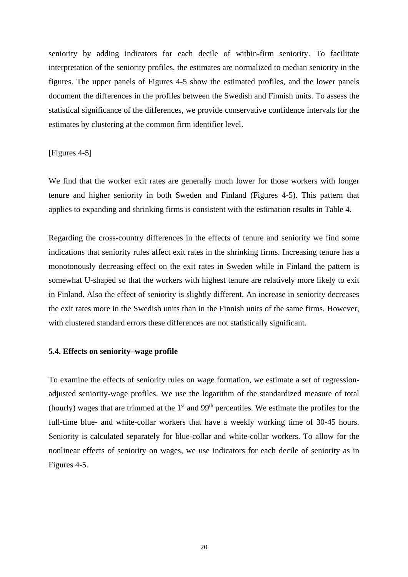seniority by adding indicators for each decile of within-firm seniority. To facilitate interpretation of the seniority profiles, the estimates are normalized to median seniority in the figures. The upper panels of Figures 4-5 show the estimated profiles, and the lower panels document the differences in the profiles between the Swedish and Finnish units. To assess the statistical significance of the differences, we provide conservative confidence intervals for the estimates by clustering at the common firm identifier level.

#### [Figures 4-5]

We find that the worker exit rates are generally much lower for those workers with longer tenure and higher seniority in both Sweden and Finland (Figures 4-5). This pattern that applies to expanding and shrinking firms is consistent with the estimation results in Table 4.

Regarding the cross-country differences in the effects of tenure and seniority we find some indications that seniority rules affect exit rates in the shrinking firms. Increasing tenure has a monotonously decreasing effect on the exit rates in Sweden while in Finland the pattern is somewhat U-shaped so that the workers with highest tenure are relatively more likely to exit in Finland. Also the effect of seniority is slightly different. An increase in seniority decreases the exit rates more in the Swedish units than in the Finnish units of the same firms. However, with clustered standard errors these differences are not statistically significant.

#### **5.4. Effects on seniority–wage profile**

To examine the effects of seniority rules on wage formation, we estimate a set of regressionadjusted seniority-wage profiles. We use the logarithm of the standardized measure of total (hourly) wages that are trimmed at the  $1<sup>st</sup>$  and  $99<sup>th</sup>$  percentiles. We estimate the profiles for the full-time blue- and white-collar workers that have a weekly working time of 30-45 hours. Seniority is calculated separately for blue-collar and white-collar workers. To allow for the nonlinear effects of seniority on wages, we use indicators for each decile of seniority as in Figures 4-5.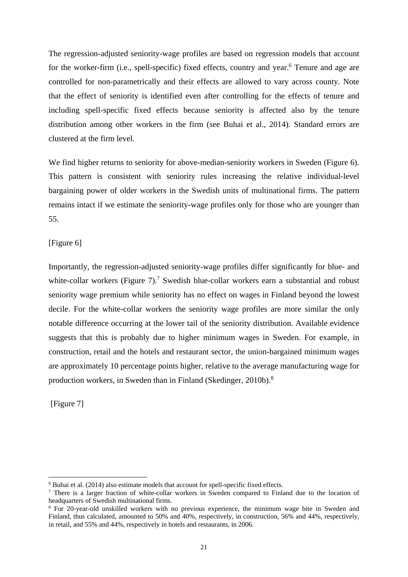The regression-adjusted seniority-wage profiles are based on regression models that account for the worker-firm (i.e., spell-specific) fixed effects, country and year.<sup>6</sup> Tenure and age are controlled for non-parametrically and their effects are allowed to vary across county. Note that the effect of seniority is identified even after controlling for the effects of tenure and including spell-specific fixed effects because seniority is affected also by the tenure distribution among other workers in the firm (see Buhai et al., 2014). Standard errors are clustered at the firm level.

We find higher returns to seniority for above-median-seniority workers in Sweden (Figure 6). This pattern is consistent with seniority rules increasing the relative individual-level bargaining power of older workers in the Swedish units of multinational firms. The pattern remains intact if we estimate the seniority-wage profiles only for those who are younger than 55.

[Figure 6]

Importantly, the regression-adjusted seniority-wage profiles differ significantly for blue- and white-collar workers (Figure  $7$ ).<sup>7</sup> Swedish blue-collar workers earn a substantial and robust seniority wage premium while seniority has no effect on wages in Finland beyond the lowest decile. For the white-collar workers the seniority wage profiles are more similar the only notable difference occurring at the lower tail of the seniority distribution. Available evidence suggests that this is probably due to higher minimum wages in Sweden. For example, in construction, retail and the hotels and restaurant sector, the union-bargained minimum wages are approximately 10 percentage points higher, relative to the average manufacturing wage for production workers, in Sweden than in Finland (Skedinger, 2010b).<sup>8</sup>

[Figure 7]

1

<sup>&</sup>lt;sup>6</sup> Buhai et al. (2014) also estimate models that account for spell-specific fixed effects.<br><sup>7</sup> There is a larger frection of white collar workers in Sweden compared to Fink

 $7$  There is a larger fraction of white-collar workers in Sweden compared to Finland due to the location of headquarters of Swedish multinational firms.

<sup>&</sup>lt;sup>8</sup> For 20-year-old unskilled workers with no previous experience, the minimum wage bite in Sweden and Finland, thus calculated, amounted to 50% and 40%, respectively, in construction, 56% and 44%, respectively, in retail, and 55% and 44%, respectively in hotels and restaurants, in 2006.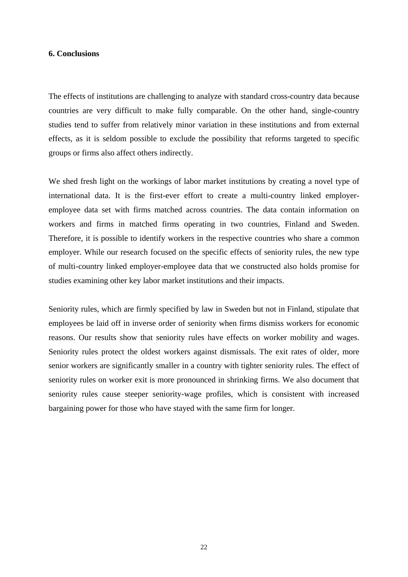#### **6. Conclusions**

The effects of institutions are challenging to analyze with standard cross-country data because countries are very difficult to make fully comparable. On the other hand, single-country studies tend to suffer from relatively minor variation in these institutions and from external effects, as it is seldom possible to exclude the possibility that reforms targeted to specific groups or firms also affect others indirectly.

We shed fresh light on the workings of labor market institutions by creating a novel type of international data. It is the first-ever effort to create a multi-country linked employeremployee data set with firms matched across countries. The data contain information on workers and firms in matched firms operating in two countries, Finland and Sweden. Therefore, it is possible to identify workers in the respective countries who share a common employer. While our research focused on the specific effects of seniority rules, the new type of multi-country linked employer-employee data that we constructed also holds promise for studies examining other key labor market institutions and their impacts.

Seniority rules, which are firmly specified by law in Sweden but not in Finland, stipulate that employees be laid off in inverse order of seniority when firms dismiss workers for economic reasons. Our results show that seniority rules have effects on worker mobility and wages. Seniority rules protect the oldest workers against dismissals. The exit rates of older, more senior workers are significantly smaller in a country with tighter seniority rules. The effect of seniority rules on worker exit is more pronounced in shrinking firms. We also document that seniority rules cause steeper seniority-wage profiles, which is consistent with increased bargaining power for those who have stayed with the same firm for longer.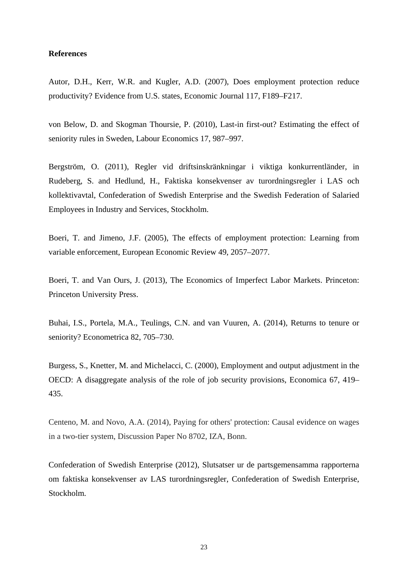#### **References**

Autor, D.H., Kerr, W.R. and Kugler, A.D. (2007), Does employment protection reduce productivity? Evidence from U.S. states, Economic Journal 117, F189–F217.

von Below, D. and Skogman Thoursie, P. (2010), Last-in first-out? Estimating the effect of seniority rules in Sweden, Labour Economics 17, 987–997.

Bergström, O. (2011), Regler vid driftsinskränkningar i viktiga konkurrentländer, in Rudeberg, S. and Hedlund, H., Faktiska konsekvenser av turordningsregler i LAS och kollektivavtal, Confederation of Swedish Enterprise and the Swedish Federation of Salaried Employees in Industry and Services, Stockholm.

Boeri, T. and Jimeno, J.F. (2005), The effects of employment protection: Learning from variable enforcement, European Economic Review 49, 2057–2077.

Boeri, T. and Van Ours, J. (2013), The Economics of Imperfect Labor Markets. Princeton: Princeton University Press.

Buhai, I.S., Portela, M.A., Teulings, C.N. and van Vuuren, A. (2014), Returns to tenure or seniority? Econometrica 82, 705–730.

Burgess, S., Knetter, M. and Michelacci, C. (2000), Employment and output adjustment in the OECD: A disaggregate analysis of the role of job security provisions, Economica 67, 419– 435.

Centeno, M. and Novo, A.A. (2014), Paying for others' protection: Causal evidence on wages in a two-tier system, Discussion Paper No 8702, IZA, Bonn.

Confederation of Swedish Enterprise (2012), Slutsatser ur de partsgemensamma rapporterna om faktiska konsekvenser av LAS turordningsregler, Confederation of Swedish Enterprise, Stockholm.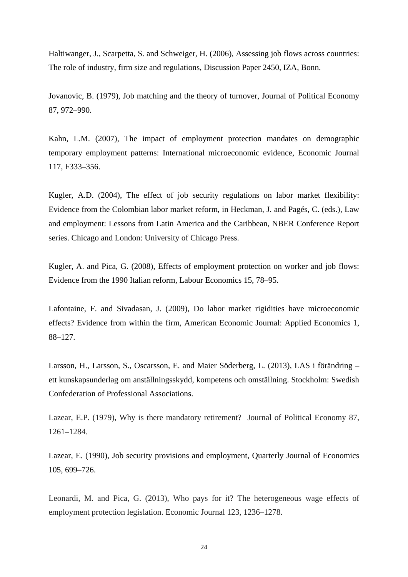Haltiwanger, J., Scarpetta, S. and Schweiger, H. (2006), Assessing job flows across countries: The role of industry, firm size and regulations, Discussion Paper 2450, IZA, Bonn.

Jovanovic, B. (1979), Job matching and the theory of turnover, Journal of Political Economy 87, 972–990.

Kahn, L.M. (2007), The impact of employment protection mandates on demographic temporary employment patterns: International microeconomic evidence, Economic Journal 117, F333–356.

Kugler, A.D. (2004), The effect of job security regulations on labor market flexibility: Evidence from the Colombian labor market reform, in Heckman, J. and Pagés, C. (eds.), Law and employment: Lessons from Latin America and the Caribbean, NBER Conference Report series. Chicago and London: University of Chicago Press.

Kugler, A. and Pica, G. (2008), Effects of employment protection on worker and job flows: Evidence from the 1990 Italian reform, Labour Economics 15, 78–95.

Lafontaine, F. and Sivadasan, J. (2009), Do labor market rigidities have microeconomic effects? Evidence from within the firm, American Economic Journal: Applied Economics 1, 88–127.

Larsson, H., Larsson, S., Oscarsson, E. and Maier Söderberg, L. (2013), LAS i förändring – ett kunskapsunderlag om anställningsskydd, kompetens och omställning. Stockholm: Swedish Confederation of Professional Associations.

Lazear, E.P. (1979), Why is there mandatory retirement? Journal of Political Economy 87, 1261–1284.

Lazear, E. (1990), Job security provisions and employment, Quarterly Journal of Economics 105, 699–726.

Leonardi, M. and Pica, G. (2013), Who pays for it? The heterogeneous wage effects of employment protection legislation. Economic Journal 123, 1236–1278.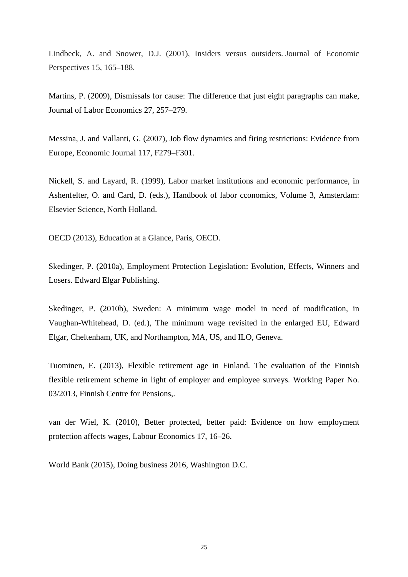Lindbeck, A. and Snower, D.J. (2001), Insiders versus outsiders. Journal of Economic Perspectives 15, 165–188.

Martins, P. (2009), Dismissals for cause: The difference that just eight paragraphs can make, Journal of Labor Economics 27, 257–279.

Messina, J. and Vallanti, G. (2007), Job flow dynamics and firing restrictions: Evidence from Europe, Economic Journal 117, F279–F301.

Nickell, S. and Layard, R. (1999), Labor market institutions and economic performance, in Ashenfelter, O. and Card, D. (eds.), Handbook of labor cconomics, Volume 3, Amsterdam: Elsevier Science, North Holland.

OECD (2013), Education at a Glance, Paris, OECD.

Skedinger, P. (2010a), Employment Protection Legislation: Evolution, Effects, Winners and Losers. Edward Elgar Publishing.

Skedinger, P. (2010b), Sweden: A minimum wage model in need of modification, in Vaughan-Whitehead, D. (ed.), The minimum wage revisited in the enlarged EU, Edward Elgar, Cheltenham, UK, and Northampton, MA, US, and ILO, Geneva.

Tuominen, E. (2013), Flexible retirement age in Finland. The evaluation of the Finnish flexible retirement scheme in light of employer and employee surveys. Working Paper No. 03/2013, Finnish Centre for Pensions,.

van der Wiel, K. (2010), Better protected, better paid: Evidence on how employment protection affects wages, Labour Economics 17, 16–26.

World Bank (2015), Doing business 2016, Washington D.C.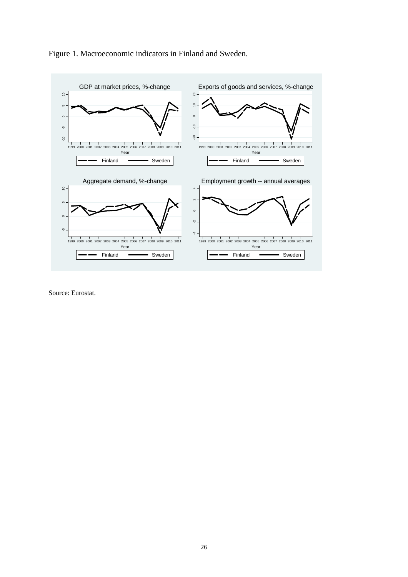

Figure 1. Macroeconomic indicators in Finland and Sweden.

Source: Eurostat.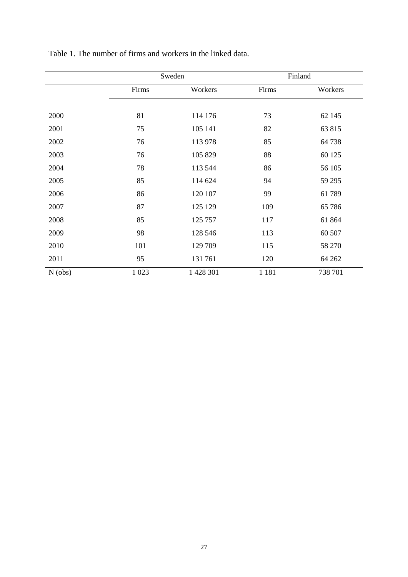|           |        | Sweden    |         | Finland |
|-----------|--------|-----------|---------|---------|
|           | Firms  | Workers   | Firms   | Workers |
|           |        |           |         |         |
| 2000      | 81     | 114 176   | 73      | 62 145  |
| 2001      | 75     | 105 141   | 82      | 63 815  |
| 2002      | 76     | 113 978   | 85      | 64738   |
| 2003      | 76     | 105 829   | 88      | 60 125  |
| 2004      | 78     | 113 544   | 86      | 56 105  |
| 2005      | 85     | 114 624   | 94      | 59 29 5 |
| 2006      | 86     | 120 107   | 99      | 61 789  |
| 2007      | 87     | 125 129   | 109     | 65 78 6 |
| 2008      | 85     | 125 757   | 117     | 61 864  |
| 2009      | 98     | 128 546   | 113     | 60 507  |
| 2010      | 101    | 129 709   | 115     | 58 270  |
| 2011      | 95     | 131761    | 120     | 64 262  |
| $N$ (obs) | 1 0 23 | 1 428 301 | 1 1 8 1 | 738 701 |

Table 1. The number of firms and workers in the linked data.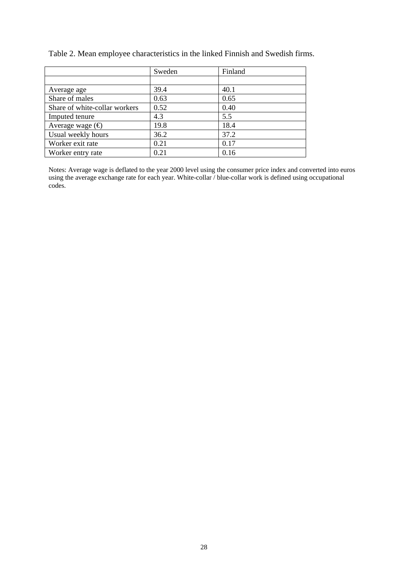|                               | Sweden | Finland |
|-------------------------------|--------|---------|
|                               |        |         |
| Average age                   | 39.4   | 40.1    |
| Share of males                | 0.63   | 0.65    |
| Share of white-collar workers | 0.52   | 0.40    |
| Imputed tenure                | 4.3    | 5.5     |
| Average wage $(\oplus)$       | 19.8   | 18.4    |
| Usual weekly hours            | 36.2   | 37.2    |
| Worker exit rate              | 0.21   | 0.17    |
| Worker entry rate             | 0.21   | 0.16    |

Table 2. Mean employee characteristics in the linked Finnish and Swedish firms.

Notes: Average wage is deflated to the year 2000 level using the consumer price index and converted into euros using the average exchange rate for each year. White-collar / blue-collar work is defined using occupational codes.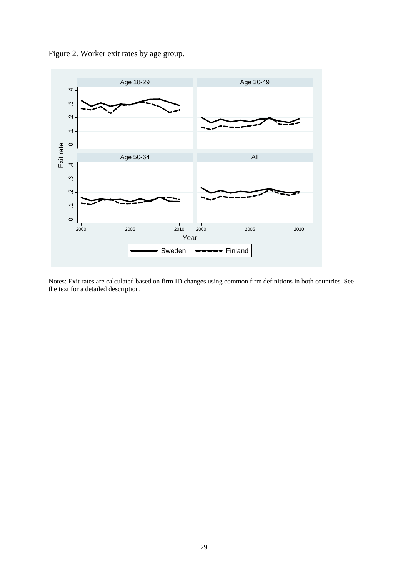



Notes: Exit rates are calculated based on firm ID changes using common firm definitions in both countries. See the text for a detailed description.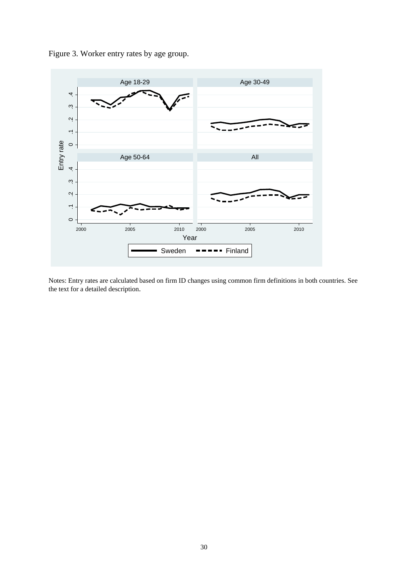



Notes: Entry rates are calculated based on firm ID changes using common firm definitions in both countries. See the text for a detailed description.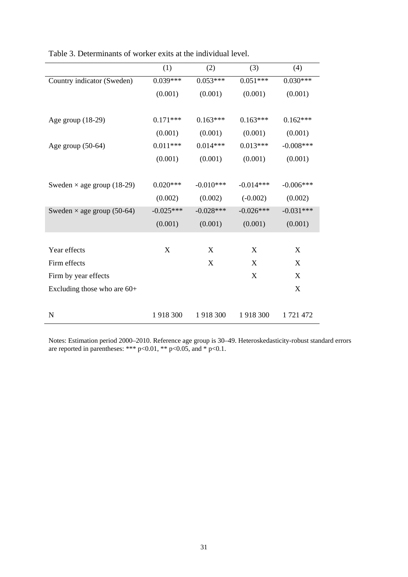|                                   | (1)         | (2)                       | (3)         | (4)         |
|-----------------------------------|-------------|---------------------------|-------------|-------------|
| Country indicator (Sweden)        | $0.039***$  | $0.053***$                | $0.051***$  | $0.030***$  |
|                                   | (0.001)     | (0.001)                   | (0.001)     | (0.001)     |
|                                   |             |                           |             |             |
| Age group $(18-29)$               | $0.171***$  | $0.163***$                | $0.163***$  | $0.162***$  |
|                                   | (0.001)     | (0.001)                   | (0.001)     | (0.001)     |
| Age group $(50-64)$               | $0.011***$  | $0.014***$                | $0.013***$  | $-0.008***$ |
|                                   | (0.001)     | (0.001)                   | (0.001)     | (0.001)     |
|                                   |             |                           |             |             |
| Sweden $\times$ age group (18-29) | $0.020***$  | $-0.010***$               | $-0.014***$ | $-0.006***$ |
|                                   | (0.002)     | (0.002)                   | $(-0.002)$  | (0.002)     |
| Sweden $\times$ age group (50-64) | $-0.025***$ | $-0.028***$               | $-0.026***$ | $-0.031***$ |
|                                   | (0.001)     | (0.001)                   | (0.001)     | (0.001)     |
|                                   |             |                           |             |             |
| Year effects                      | $\mathbf X$ | X                         | X           | X           |
| Firm effects                      |             | $\boldsymbol{\mathrm{X}}$ | X           | X           |
| Firm by year effects              |             |                           | X           | X           |
| Excluding those who are $60+$     |             |                           |             | X           |
|                                   |             |                           |             |             |
| $\mathbf N$                       | 1918 300    | 1918 300                  | 1918 300    | 1721472     |

Table 3. Determinants of worker exits at the individual level.

Notes: Estimation period 2000–2010. Reference age group is 30–49. Heteroskedasticity-robust standard errors are reported in parentheses: \*\*\*  $p<0.01$ , \*\*  $p<0.05$ , and \*  $p<0.1$ .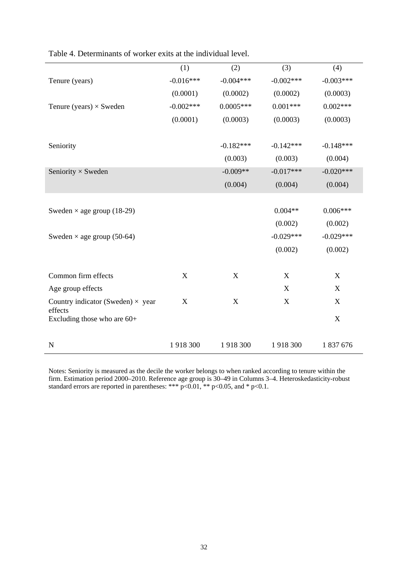|                                                     | (1)         | (2)                       | (3)         | (4)         |
|-----------------------------------------------------|-------------|---------------------------|-------------|-------------|
| Tenure (years)                                      | $-0.016***$ | $-0.004***$               | $-0.002***$ | $-0.003***$ |
|                                                     | (0.0001)    | (0.0002)                  | (0.0002)    | (0.0003)    |
| Tenure (years) $\times$ Sweden                      | $-0.002***$ | $0.0005***$               | $0.001***$  | $0.002***$  |
|                                                     | (0.0001)    | (0.0003)                  | (0.0003)    | (0.0003)    |
|                                                     |             |                           |             |             |
| Seniority                                           |             | $-0.182***$               | $-0.142***$ | $-0.148***$ |
|                                                     |             | (0.003)                   | (0.003)     | (0.004)     |
| Seniority $\times$ Sweden                           |             | $-0.009**$                | $-0.017***$ | $-0.020***$ |
|                                                     |             | (0.004)                   | (0.004)     | (0.004)     |
|                                                     |             |                           |             |             |
| Sweden $\times$ age group (18-29)                   |             |                           | $0.004**$   | $0.006***$  |
|                                                     |             |                           | (0.002)     | (0.002)     |
| Sweden $\times$ age group (50-64)                   |             |                           | $-0.029***$ | $-0.029***$ |
|                                                     |             |                           | (0.002)     | (0.002)     |
|                                                     |             |                           |             |             |
| Common firm effects                                 | X           | X                         | X           | X           |
| Age group effects                                   |             |                           | X           | X           |
| Country indicator (Sweden) $\times$ year<br>effects | X           | $\boldsymbol{\mathrm{X}}$ | X           | X           |
| Excluding those who are $60+$                       |             |                           |             | $\mathbf X$ |
|                                                     |             |                           |             |             |
| $\mathbf N$                                         | 1918 300    | 1918300                   | 1918 300    | 1 837 676   |

Table 4. Determinants of worker exits at the individual level.

Notes: Seniority is measured as the decile the worker belongs to when ranked according to tenure within the firm. Estimation period 2000–2010. Reference age group is 30–49 in Columns 3–4. Heteroskedasticity-robust standard errors are reported in parentheses: \*\*\*  $p<0.01$ , \*\*  $p<0.05$ , and \*  $p<0.1$ .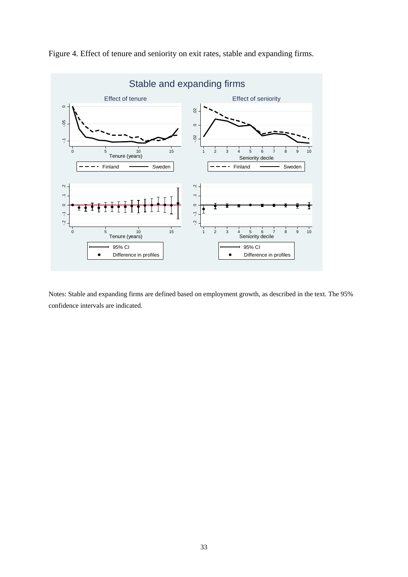

Figure 4. Effect of tenure and seniority on exit rates, stable and expanding firms.

Notes: Stable and expanding firms are defined based on employment growth, as described in the text. The 95% confidence intervals are indicated.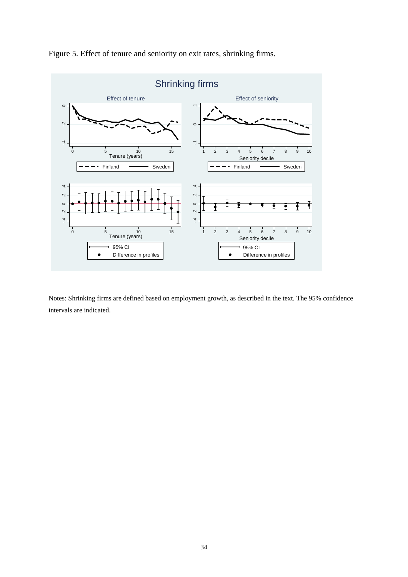

Figure 5. Effect of tenure and seniority on exit rates, shrinking firms.

Notes: Shrinking firms are defined based on employment growth, as described in the text. The 95% confidence intervals are indicated.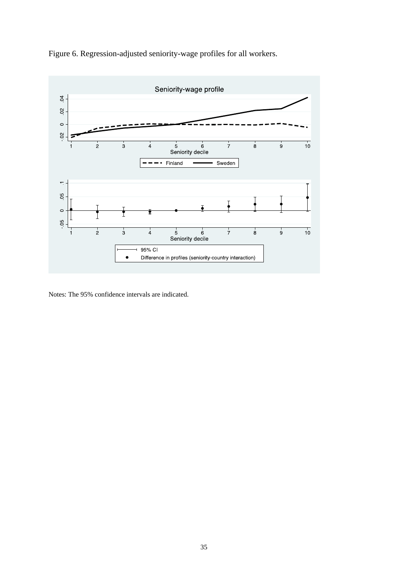



Notes: The 95% confidence intervals are indicated.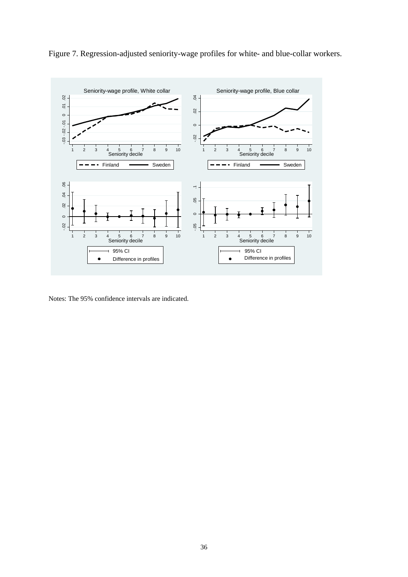

Figure 7. Regression-adjusted seniority-wage profiles for white- and blue-collar workers.

Notes: The 95% confidence intervals are indicated.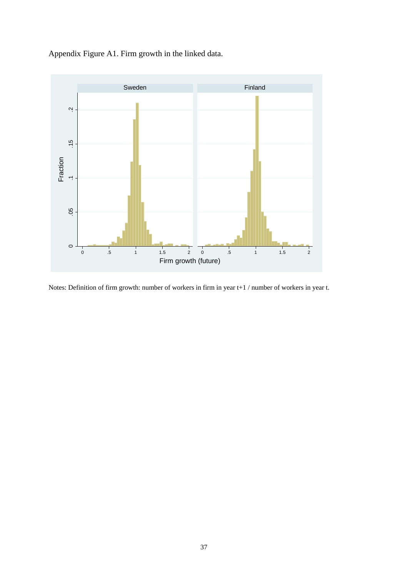Appendix Figure A1. Firm growth in the linked data.



Notes: Definition of firm growth: number of workers in firm in year t+1 / number of workers in year t.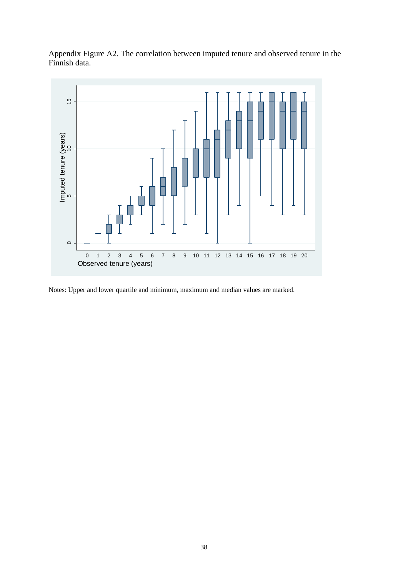Appendix Figure A2. The correlation between imputed tenure and observed tenure in the Finnish data.



Notes: Upper and lower quartile and minimum, maximum and median values are marked.